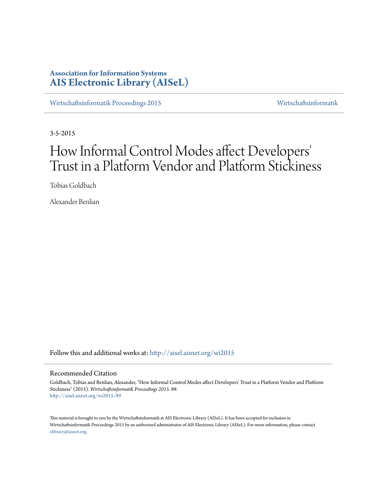# **Association for Information Systems [AIS Electronic Library \(AISeL\)](http://aisel.aisnet.org?utm_source=aisel.aisnet.org%2Fwi2015%2F89&utm_medium=PDF&utm_campaign=PDFCoverPages)**

[Wirtschaftsinformatik Proceedings 2015](http://aisel.aisnet.org/wi2015?utm_source=aisel.aisnet.org%2Fwi2015%2F89&utm_medium=PDF&utm_campaign=PDFCoverPages) [Wirtschaftsinformatik](http://aisel.aisnet.org/wi?utm_source=aisel.aisnet.org%2Fwi2015%2F89&utm_medium=PDF&utm_campaign=PDFCoverPages)

3-5-2015

# How Informal Control Modes affect Developers 'Trust in a Platform Vendor and Platform Stickiness

Tobias Goldbach

Alexander Benlian

Follow this and additional works at: [http://aisel.aisnet.org/wi2015](http://aisel.aisnet.org/wi2015?utm_source=aisel.aisnet.org%2Fwi2015%2F89&utm_medium=PDF&utm_campaign=PDFCoverPages)

## Recommended Citation

Goldbach, Tobias and Benlian, Alexander, "How Informal Control Modes affect Developers' Trust in a Platform Vendor and Platform Stickiness" (2015). *Wirtschaftsinformatik Proceedings 2015*. 89. [http://aisel.aisnet.org/wi2015/89](http://aisel.aisnet.org/wi2015/89?utm_source=aisel.aisnet.org%2Fwi2015%2F89&utm_medium=PDF&utm_campaign=PDFCoverPages)

This material is brought to you by the Wirtschaftsinformatik at AIS Electronic Library (AISeL). It has been accepted for inclusion in Wirtschaftsinformatik Proceedings 2015 by an authorized administrator of AIS Electronic Library (AISeL). For more information, please contact [elibrary@aisnet.org.](mailto:elibrary@aisnet.org%3E)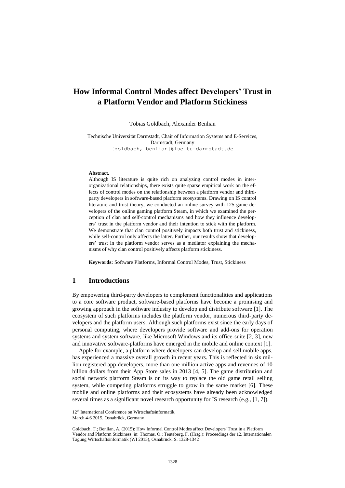## **How Informal Control Modes affect Developers' Trust in a Platform Vendor and Platform Stickiness**

Tobias Goldbach, Alexander Benlian

Technische Universität Darmstadt, Chair of Information Systems and E-Services, Darmstadt, Germany {goldbach, benlian}@ise.tu-darmstadt.de

#### **Abstract.**

Although IS literature is quite rich on analyzing control modes in interorganizational relationships, there exists quite sparse empirical work on the effects of control modes on the relationship between a platform vendor and thirdparty developers in software-based platform ecosystems. Drawing on IS control literature and trust theory, we conducted an online survey with 125 game developers of the online gaming platform Steam, in which we examined the perception of clan and self-control mechanisms and how they influence developers' trust in the platform vendor and their intention to stick with the platform. We demonstrate that clan control positively impacts both trust and stickiness, while self-control only affects the latter. Further, our results show that developers' trust in the platform vendor serves as a mediator explaining the mechanisms of why clan control positively affects platform stickiness.

**Keywords:** Software Platforms, Informal Control Modes, Trust, Stickiness

## **1 Introductions**

By empowering third-party developers to complement functionalities and applications to a core software product, software-based platforms have become a promising and growing approach in the software industry to develop and distribute software [1]. The ecosystem of such platforms includes the platform vendor, numerous third-party developers and the platform users. Although such platforms exist since the early days of personal computing, where developers provide software and add-ons for operation systems and system software, like Microsoft Windows and its office-suite [2, 3], new and innovative software-platforms have emerged in the mobile and online context [1].

Apple for example, a platform where developers can develop and sell mobile apps, has experienced a massive overall growth in recent years. This is reflected in six million registered app-developers, more than one million active apps and revenues of 10 billion dollars from their App Store sales in 2013 [4, 5]. The game distribution and social network platform Steam is on its way to replace the old game retail selling system, while competing platforms struggle to grow in the same market [6]. These mobile and online platforms and their ecosystems have already been acknowledged several times as a significant novel research opportunity for IS research (e.g., [1, 7]).

<sup>12&</sup>lt;sup>th</sup> International Conference on Wirtschaftsinformatik,

March 4-6 2015, Osnabrück, Germany

Goldbach, T.; Benlian, A. (2015): How Informal Control Modes affect Developers' Trust in a Platform Vendor and Platform Stickiness, in: Thomas. O.; Teuteberg, F. (Hrsg.): Proceedings der 12. Internationalen Tagung Wirtschaftsinformatik (WI 2015), Osnabrück, S. 1328-1342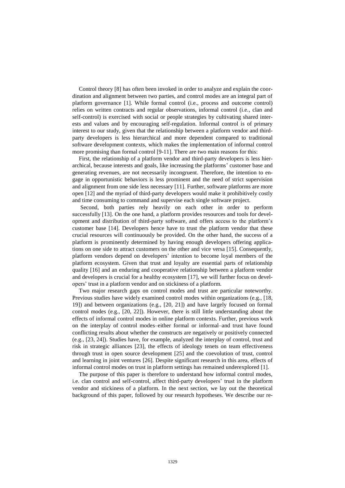Control theory [8] has often been invoked in order to analyze and explain the coordination and alignment between two parties, and control modes are an integral part of platform governance [1]. While formal control (i.e., process and outcome control) relies on written contracts and regular observations, informal control (i.e., clan and self-control) is exercised with social or people strategies by cultivating shared interests and values and by encouraging self-regulation. Informal control is of primary interest to our study, given that the relationship between a platform vendor and thirdparty developers is less hierarchical and more dependent compared to traditional software development contexts, which makes the implementation of informal control more promising than formal control [9-11]. There are two main reasons for this:

First, the relationship of a platform vendor and third-party developers is less hierarchical, because interests and goals, like increasing the platforms' customer base and generating revenues, are not necessarily incongruent. Therefore, the intention to engage in opportunistic behaviors is less prominent and the need of strict supervision and alignment from one side less necessary [11]. Further, software platforms are more open [12] and the myriad of third-party developers would make it prohibitively costly and time consuming to command and supervise each single software project.

Second, both parties rely heavily on each other in order to perform successfully [13]. On the one hand, a platform provides resources and tools for development and distribution of third-party software, and offers access to the platform's customer base [14]. Developers hence have to trust the platform vendor that these crucial resources will continuously be provided. On the other hand, the success of a platform is prominently determined by having enough developers offering applications on one side to attract customers on the other and vice versa [15]. Consequently, platform vendors depend on developers' intention to become loyal members of the platform ecosystem. Given that trust and loyalty are essential parts of relationship quality [16] and an enduring and cooperative relationship between a platform vendor and developers is crucial for a healthy ecosystem [17], we will further focus on developers' trust in a platform vendor and on stickiness of a platform.

Two major research gaps on control modes and trust are particular noteworthy. Previous studies have widely examined control modes within organizations (e.g., [18, 19]) and between organizations (e.g., [20, 21]) and have largely focused on formal control modes (e.g., [20, 22]). However, there is still little understanding about the effects of informal control modes in online platform contexts. Further, previous work on the interplay of control modes–either formal or informal–and trust have found conflicting results about whether the constructs are negatively or positively connected (e.g., [23, 24]). Studies have, for example, analyzed the interplay of control, trust and risk in strategic alliances [23], the effects of ideology tenets on team effectiveness through trust in open source development [25] and the coevolution of trust, control and learning in joint ventures [26]. Despite significant research in this area, effects of informal control modes on trust in platform settings has remained underexplored [1].

The purpose of this paper is therefore to understand how informal control modes, i.e. clan control and self-control, affect third-party developers' trust in the platform vendor and stickiness of a platform. In the next section, we lay out the theoretical background of this paper, followed by our research hypotheses. We describe our re-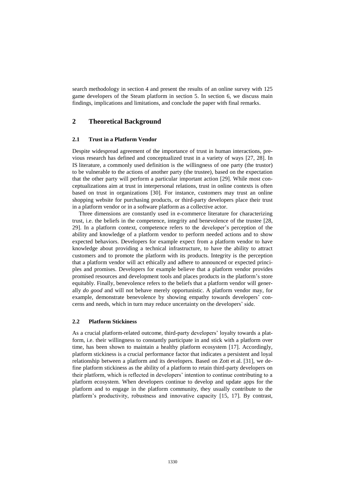search methodology in section 4 and present the results of an online survey with 125 game developers of the Steam platform in section 5. In section 6, we discuss main findings, implications and limitations, and conclude the paper with final remarks.

## **2 Theoretical Background**

#### **2.1 Trust in a Platform Vendor**

Despite widespread agreement of the importance of trust in human interactions, previous research has defined and conceptualized trust in a variety of ways [27, 28]. In IS literature, a commonly used definition is the willingness of one party (the trustor) to be vulnerable to the actions of another party (the trustee), based on the expectation that the other party will perform a particular important action [29]. While most conceptualizations aim at trust in interpersonal relations, trust in online contexts is often based on trust in organizations [30]. For instance, customers may trust an online shopping website for purchasing products, or third-party developers place their trust in a platform vendor or in a software platform as a collective actor.

Three dimensions are constantly used in e-commerce literature for characterizing trust, i.e. the beliefs in the competence, integrity and benevolence of the trustee [28, 29]. In a platform context, competence refers to the developer's perception of the ability and knowledge of a platform vendor to perform needed actions and to show expected behaviors. Developers for example expect from a platform vendor to have knowledge about providing a technical infrastructure, to have the ability to attract customers and to promote the platform with its products. Integrity is the perception that a platform vendor will act ethically and adhere to announced or expected principles and promises. Developers for example believe that a platform vendor provides promised resources and development tools and places products in the platform's store [equitably.](http://www.dict.cc/englisch-deutsch/equitably.html) Finally, benevolence refers to the beliefs that a platform vendor will generally *do good* and will not behave merely opportunistic. A platform vendor may, for example, demonstrate benevolence by showing empathy towards developers' concerns and needs, which in turn may reduce uncertainty on the developers' side.

#### **2.2 Platform Stickiness**

As a crucial platform-related outcome, third-party developers' loyalty towards a platform, i.e. their willingness to constantly participate in and stick with a platform over time, has been shown to maintain a healthy platform ecosystem [17]. Accordingly, platform stickiness is a crucial performance factor that indicates a persistent and loyal relationship between a platform and its developers. Based on Zott et al. [31], we define platform stickiness as the ability of a platform to retain third-party developers on their platform, which is reflected in developers' intention to continue contributing to a platform ecosystem. When developers continue to develop and update apps for the platform and to engage in the platform community, they usually contribute to the platform's productivity, robustness and innovative capacity [15, 17]. By contrast,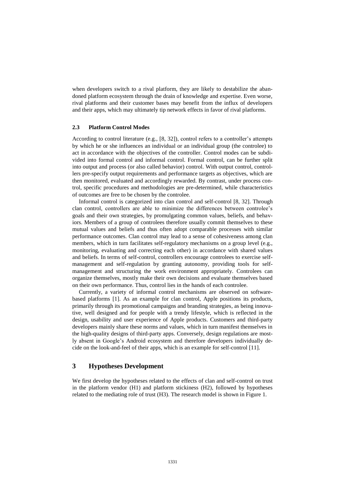when developers switch to a rival platform, they are likely to destabilize the abandoned platform ecosystem through the drain of knowledge and expertise. Even worse, rival platforms and their customer bases may benefit from the influx of developers and their apps, which may ultimately tip network effects in favor of rival platforms.

### **2.3 Platform Control Modes**

According to control literature (e.g., [8, 32]), control refers to a controller's attempts by which he or she influences an individual or an individual group (the controlee) to act in accordance with the objectives of the controller. Control modes can be subdivided into formal control and informal control. Formal control, can be further split into output and process (or also called behavior) control. With output control, controllers pre-specify output requirements and performance targets as objectives, which are then monitored, evaluated and accordingly rewarded. By contrast, under process control, specific procedures and methodologies are pre-determined, while characteristics of outcomes are free to be chosen by the controlee.

Informal control is categorized into clan control and self-control [8, 32]. Through clan control, controllers are able to minimize the differences between controlee's goals and their own strategies, by promulgating common values, beliefs, and behaviors. Members of a group of controlees therefore usually commit themselves to these mutual values and beliefs and thus often adopt comparable processes with similar performance outcomes. Clan control may lead to a sense of cohesiveness among clan members, which in turn facilitates self-regulatory mechanisms on a group level (e.g., monitoring, evaluating and correcting each other) in accordance with shared values and beliefs. In terms of self-control, controllers encourage controlees to exercise selfmanagement and self-regulation by granting autonomy, providing tools for selfmanagement and structuring the work environment appropriately. Controlees can organize themselves, mostly make their own decisions and evaluate themselves based on their own performance. Thus, control lies in the hands of each controlee.

Currently, a variety of informal control mechanisms are observed on softwarebased platforms [1]. As an example for clan control, Apple positions its products, primarily through its promotional campaigns and branding strategies, as being innovative, well designed and for people with a trendy lifestyle, which is reflected in the design, usability and user experience of Apple products. Customers and third-party developers mainly share these norms and values, which in turn manifest themselves in the high-quality designs of third-party apps. Conversely, design regulations are mostly absent in Google's Android ecosystem and therefore developers individually decide on the look-and-feel of their apps, which is an example for self-control [11].

## **3 Hypotheses Development**

We first develop the hypotheses related to the effects of clan and self-control on trust in the platform vendor (H1) and platform stickiness (H2), followed by hypotheses related to the mediating role of trust (H3). The research model is shown in Figure 1.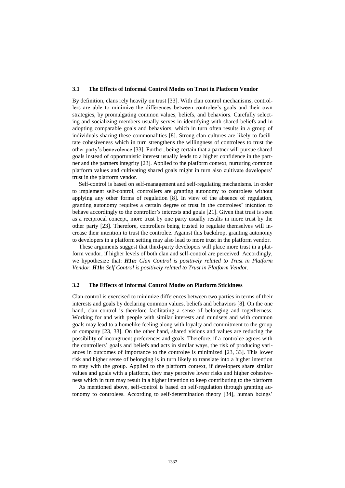#### **3.1 The Effects of Informal Control Modes on Trust in Platform Vendor**

By definition, clans rely heavily on trust [33]. With clan control mechanisms, controllers are able to minimize the differences between controlee's goals and their own strategies, by promulgating common values, beliefs, and behaviors. Carefully selecting and socializing members usually serves in identifying with shared beliefs and in adopting comparable goals and behaviors, which in turn often results in a group of individuals sharing these commonalities [8]. Strong clan cultures are likely to facilitate cohesiveness which in turn strengthens the willingness of controlees to trust the other party's benevolence [33]. Further, being certain that a partner will pursue shared goals instead of opportunistic interest usually leads to a higher confidence in the partner and the partners integrity [23]. Applied to the platform context, nurturing common platform values and cultivating shared goals might in turn also cultivate developers' trust in the platform vendor.

Self-control is based on self-management and self-regulating mechanisms. In order to implement self-control, controllers are granting autonomy to controlees without applying any other forms of regulation [8]. In view of the absence of regulation, granting autonomy requires a certain degree of trust in the controlees' intention to behave accordingly to the controller's interests and goals [21]. Given that trust is seen as a reciprocal concept, more trust by one party usually results in more trust by the other party [23]. Therefore, controllers being trusted to regulate themselves will increase their intention to trust the controlee. Against this backdrop, granting autonomy to developers in a platform setting may also lead to more trust in the platform vendor.

These arguments suggest that third-party developers will place more trust in a platform vendor, if higher levels of both clan and self-control are perceived. Accordingly, we hypothesize that: *H1a: Clan Control is positively related to Trust in Platform Vendor. H1b: Self Control is positively related to Trust in Platform Vendor.*

#### **3.2 The Effects of Informal Control Modes on Platform Stickiness**

Clan control is exercised to minimize differences between two parties in terms of their interests and goals by declaring common values, beliefs and behaviors [8]. On the one hand, clan control is therefore facilitating a sense of belonging and togetherness. Working for and with people with similar interests and mindsets and with common goals may lead to a homelike feeling along with loyalty and commitment to the group or company [23, 33]. On the other hand, shared visions and values are reducing the possibility of incongruent preferences and goals. Therefore, if a controlee agrees with the controllers' goals and beliefs and acts in similar ways, the risk of producing variances in outcomes of importance to the controlee is minimized [23, 33]. This lower risk and higher sense of belonging is in turn likely to translate into a higher intention to stay with the group. Applied to the platform context, if developers share similar values and goals with a platform, they may perceive lower risks and higher cohesiveness which in turn may result in a higher intention to keep contributing to the platform

As mentioned above, self-control is based on self-regulation through granting autonomy to controlees. According to self-determination theory [34], human beings'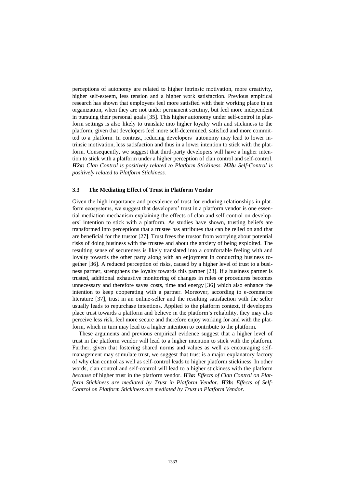perceptions of autonomy are related to higher intrinsic motivation, more creativity, higher self-esteem, less tension and a higher work satisfaction. Previous empirical research has shown that employees feel more satisfied with their working place in an organization, when they are not under permanent scrutiny, but feel more independent in pursuing their personal goals [35]. This higher autonomy under self-control in platform settings is also likely to translate into higher loyalty with and stickiness to the platform, given that developers feel more self-determined, satisfied and more committed to a platform. In contrast, reducing developers' autonomy may lead to lower intrinsic motivation, less satisfaction and thus in a lower intention to stick with the platform. Consequently, we suggest that third-party developers will have a higher intention to stick with a platform under a higher perception of clan control and self-control. *H2a: Clan Control is positively related to Platform Stickiness. H2b: Self-Control is positively related to Platform Stickiness.*

#### **3.3 The Mediating Effect of Trust in Platform Vendor**

Given the high importance and prevalence of trust for enduring relationships in platform ecosystems, we suggest that developers' trust in a platform vendor is one essential mediation mechanism explaining the effects of clan and self-control on developers' intention to stick with a platform. As studies have shown, trusting beliefs are transformed into perceptions that a trustee has attributes that can be relied on and that are beneficial for the trustor [27]. Trust frees the trustor from worrying about potential risks of doing business with the trustee and about the anxiety of being exploited. The resulting sense of secureness is likely translated into a comfortable feeling with and loyalty towards the other party along with an enjoyment in conducting business together [36]. A reduced perception of risks, caused by a higher level of trust to a business partner, strengthens the loyalty towards this partner [23]. If a business partner is trusted, additional exhaustive monitoring of changes in rules or procedures becomes unnecessary and therefore saves costs, time and energy [36] which also enhance the intention to keep cooperating with a partner. Moreover, according to e-commerce literature [37], trust in an online-seller and the resulting satisfaction with the seller usually leads to repurchase intentions. Applied to the platform context, if developers place trust towards a platform and believe in the platform's reliability, they may also perceive less risk, feel more secure and therefore enjoy working for and with the platform, which in turn may lead to a higher intention to contribute to the platform.

These arguments and previous empirical evidence suggest that a higher level of trust in the platform vendor will lead to a higher intention to stick with the platform. Further, given that fostering shared norms and values as well as encouraging selfmanagement may stimulate trust, we suggest that trust is a major explanatory factory of why clan control as well as self-control leads to higher platform stickiness. In other words, clan control and self-control will lead to a higher stickiness with the platform *because* of higher trust in the platform vendor. *H3a: Effects of Clan Control on Platform Stickiness are mediated by Trust in Platform Vendor. H3b: Effects of Self-Control on Platform Stickiness are mediated by Trust in Platform Vendor.*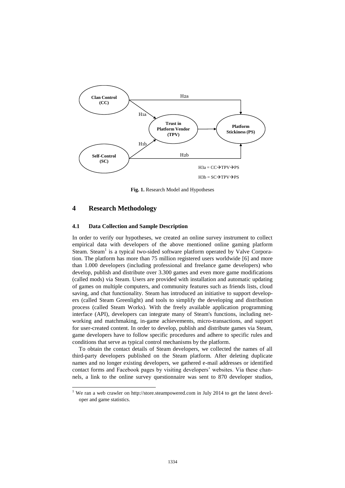

**Fig. 1.** Research Model and Hypotheses

## **4 Research Methodology**

-

#### **4.1 Data Collection and Sample Description**

In order to verify our hypotheses, we created an online survey instrument to collect empirical data with developers of the above mentioned online gaming platform Steam. Steam<sup>1</sup> is a typical two-sided software platform operated by Valve Corporation. The platform has more than 75 million registered users worldwide [6] and more than 1.000 developers (including professional and freelance game developers) who develop, publish and distribute over 3.300 games and even more game modifications (called mods) via Steam. Users are provided with installation and automatic updating of games on multiple computers, and community features such as friends lists, cloud saving, and chat functionality. Steam has introduced an initiative to support developers (called Steam Greenlight) and tools to simplify the developing and distribution process (called Steam Works). With the freely available application programming interface (API), developers can integrate many of Steam's functions, including networking and matchmaking, in-game achievements, micro-transactions, and support for user-created content. In order to develop, publish and distribute games via Steam, game developers have to follow specific procedures and adhere to specific rules and conditions that serve as typical control mechanisms by the platform.

To obtain the contact details of Steam developers, we collected the names of all third-party developers published on the Steam platform. After deleting duplicate names and no longer existing developers, we gathered e-mail addresses or identified contact forms and Facebook pages by visiting developers' websites. Via these channels, a link to the online survey questionnaire was sent to 870 developer studios,

 $1$  We ran a web crawler on http://store.steampowered.com in July 2014 to get the latest developer and game statistics.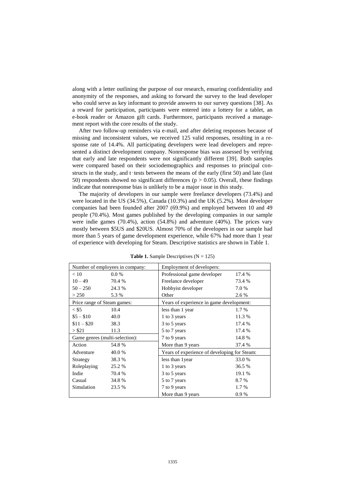along with a letter outlining the purpose of our research, ensuring confidentiality and anonymity of the responses, and asking to forward the survey to the lead developer who could serve as key informant to provide answers to our survey questions [38]. As a reward for participation, participants were entered into a lottery for a tablet, an e-book reader or Amazon gift cards. Furthermore, participants received a management report with the core results of the study.

After two follow-up reminders via e-mail, and after deleting responses because of missing and inconsistent values, we received 125 valid responses, resulting in a response rate of 14.4%. All participating developers were lead developers and represented a distinct development company. Nonresponse bias was assessed by verifying that early and late respondents were not significantly different [39]. Both samples were compared based on their sociodemographics and responses to principal constructs in the study, and t-tests between the means of the early (first 50) and late (last 50) respondents showed no significant differences ( $p > 0.05$ ). Overall, these findings indicate that nonresponse bias is unlikely to be a major issue in this study.

The majority of developers in our sample were freelance developers (73.4%) and were located in the US (34.5%), Canada (10.3%) and the UK (5.2%). Most developer companies had been founded after 2007 (69.9%) and employed between 10 and 49 people (70.4%). Most games published by the developing companies in our sample were indie games (70.4%), action (54.8%) and adventure (40%). The prices vary mostly between \$5US and \$20US. Almost 70% of the developers in our sample had more than 5 years of game development experience, while 67% had more than 1 year of experience with developing for Steam. Descriptive statistics are shown in Table 1.

| Number of employees in company: |         | Employment of developers:                    |        |
|---------------------------------|---------|----------------------------------------------|--------|
| < 10                            | $0.0\%$ | Professional game developer                  | 17.4 % |
| $10 - 49$                       | 70.4 %  | Freelance developer                          | 73.4 % |
| $50 - 250$                      | 24.3 %  | Hobbyist developer                           | 7.0 %  |
| > 250                           | 5.3 %   | Other                                        | 2.6 %  |
| Price range of Steam games:     |         | Years of experience in game development:     |        |
| $<$ \$5                         | 10.4    | less than 1 year                             | 1.7 %  |
| $$5 - $10$                      | 40.0    | 1 to 3 years                                 | 11.3 % |
| $$11 - $20$                     | 38.3    | 3 to 5 years                                 | 17.4 % |
| > \$21                          | 11.3    | 5 to 7 years                                 | 17.4 % |
| Game genres (multi-selection):  |         | 7 to 9 years                                 | 14.8%  |
| Action                          | 54.8%   | More than 9 years                            | 37.4 % |
| Adventure                       | 40.0%   | Years of experience of developing for Steam: |        |
| Strategy                        | 38.3%   | less than 1 year                             | 33.0 % |
| Roleplaying                     | 25.2 %  | 1 to 3 years                                 | 36.5 % |
| Indie                           | 70.4 %  | 3 to 5 years                                 | 19.1 % |
| Casual                          | 34.8%   | 5 to 7 years                                 | 8.7 %  |
| Simulation                      | 23.5 %  | 7 to 9 years                                 | 1.7 %  |
|                                 |         | More than 9 years                            | 0.9%   |

**Table 1.** Sample Descriptives  $(N = 125)$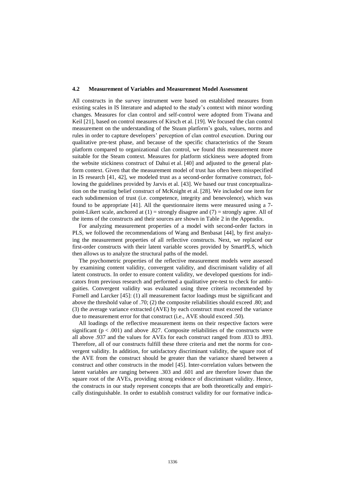#### **4.2 Measurement of Variables and Measurement Model Assessment**

All constructs in the survey instrument were based on established measures from existing scales in IS literature and adapted to the study's context with minor wording changes. Measures for clan control and self-control were adopted from Tiwana and Keil [21], based on control measures of Kirsch et al. [19]. We focused the clan control measurement on the understanding of the Steam platform's goals, values, norms and rules in order to capture developers' perception of clan control execution. During our qualitative pre-test phase, and because of the specific characteristics of the Steam platform compared to organizational clan control, we found this measurement more suitable for the Steam context. Measures for platform stickiness were adopted from the website stickiness construct of Dahui et al. [40] and adjusted to the general platform context. Given that the measurement model of trust has often been misspecified in IS research [41, 42], we modeled trust as a second-order formative construct, following the guidelines provided by Jarvis et al. [43]. We based our trust conceptualization on the trusting belief construct of McKnight et al. [28]. We included one item for each subdimension of trust (i.e. competence, integrity and benevolence), which was found to be appropriate [41]. All the questionnaire items were measured using a 7 point-Likert scale, anchored at  $(1)$  = strongly disagree and  $(7)$  = strongly agree. All of the items of the constructs and their sources are shown in Table 2 in the Appendix.

For analyzing measurement properties of a model with second-order factors in PLS, we followed the recommendations of Wang and Benbasat [44], by first analyzing the measurement properties of all reflective constructs. Next, we replaced our first-order constructs with their latent variable scores provided by SmartPLS, which then allows us to analyze the structural paths of the model.

The psychometric properties of the reflective measurement models were assessed by examining content validity, convergent validity, and discriminant validity of all latent constructs. In order to ensure content validity, we developed questions for indicators from previous research and performed a qualitative pre-test to check for ambiguities. Convergent validity was evaluated using three criteria recommended by Fornell and Larcker [45]: (1) all measurement factor loadings must be significant and above the threshold value of .70; (2) the composite reliabilities should exceed .80; and (3) the average variance extracted (AVE) by each construct must exceed the variance due to measurement error for that construct (i.e., AVE should exceed .50).

All loadings of the reflective measurement items on their respective factors were significant ( $p < .001$ ) and above .827. Composite reliabilities of the constructs were all above .937 and the values for AVEs for each construct ranged from .833 to .893. Therefore, all of our constructs fulfill these three criteria and met the norms for convergent validity. In addition, for satisfactory discriminant validity, the square root of the AVE from the construct should be greater than the variance shared between a construct and other constructs in the model [45]. Inter-correlation values between the latent variables are ranging between .303 and .601 and are therefore lower than the square root of the AVEs, providing strong evidence of discriminant validity. Hence, the constructs in our study represent concepts that are both theoretically and empirically distinguishable. In order to establish construct validity for our formative indica-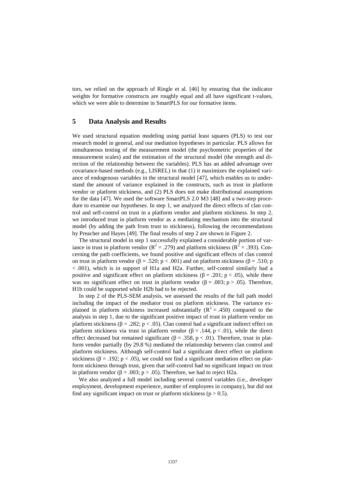tors, we relied on the approach of Ringle et al. [46] by ensuring that the indicator weights for formative constructs are roughly equal and all have significant t-values, which we were able to determine in SmartPLS for our formative items.

## **5 Data Analysis and Results**

We used structural equation modeling using partial least squares (PLS) to test our research model in general, and our mediation hypotheses in particular. PLS allows for simultaneous testing of the measurement model (the psychometric properties of the measurement scales) and the estimation of the structural model (the strength and direction of the relationship between the variables). PLS has an added advantage over covariance-based methods (e.g., LISREL) in that (1) it maximizes the explained variance of endogenous variables in the structural model [47], which enables us to understand the amount of variance explained in the constructs, such as trust in platform vendor or platform stickiness, and (2) PLS does not make distributional assumptions for the data [47]. We used the software SmartPLS 2.0 M3 [48] and a two-step procedure to examine our hypotheses. In step 1, we analyzed the direct effects of clan control and self-control on trust in a platform vendor and platform stickiness. In step 2, we introduced trust in platform vendor as a mediating mechanism into the structural model (by adding the path from trust to stickiness), following the recommendations by Preacher and Hayes [49]. The final results of step 2 are shown in Figure 2.

The structural model in step 1 successfully explained a considerable portion of variance in trust in platform vendor ( $R^2 = .279$ ) and platform stickiness ( $R^2 = .393$ ). Concerning the path coefficients, we found positive and significant effects of clan control on trust in platform vendor (β = .520; p < .001) and on platform stickiness (β = .510; p < .001), which is in support of H1a and H2a. Further, self-control similarly had a positive and significant effect on platform stickiness ( $\beta$  = .201; p < .05), while there was no significant effect on trust in platform vendor ( $\beta = .003$ ; p > .05). Therefore, H1b could be supported while H2b had to be rejected.

In step 2 of the PLS-SEM analysis, we assessed the results of the full path model including the impact of the mediator trust on platform stickiness. The variance explained in platform stickiness increased substantially  $(R^2 = .450)$  compared to the analysis in step 1, due to the significant positive impact of trust in platform vendor on platform stickiness ( $\beta = .282$ ; p < .05). Clan control had a significant indirect effect on platform stickiness via trust in platform vendor (β = .144, p < .01), while the direct effect decreased but remained significant ( $\beta = .358$ ,  $p < .01$ ). Therefore, trust in platform vendor partially (by 29.8 %) mediated the relationship between clan control and platform stickiness. Although self-control had a significant direct effect on platform stickiness ( $\beta = .192$ ; p < .05), we could not find a significant mediation effect on platform stickiness through trust, given that self-control had no significant impact on trust in platform vendor ( $β = .003$ ;  $p > .05$ ). Therefore, we had to reject H2a.

We also analyzed a full model including several control variables (i.e., developer employment, development experience, number of employees in company), but did not find any significant impact on trust or platform stickiness ( $p > 0.5$ ).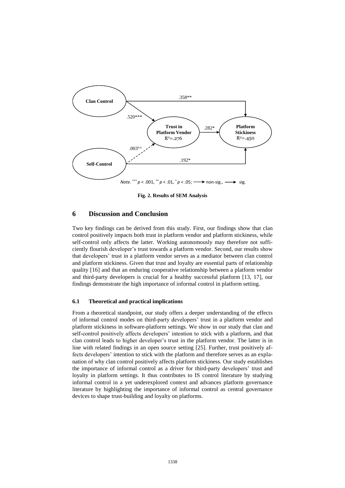

**Fig. 2. Results of SEM Analysis**

## **6 Discussion and Conclusion**

Two key findings can be derived from this study. First, our findings show that clan control positively impacts both trust in platform vendor and platform stickiness, while self-control only affects the latter. Working autonomously may therefore not sufficiently flourish developer's trust towards a platform vendor. Second, our results show that developers' trust in a platform vendor serves as a mediator between clan control and platform stickiness. Given that trust and loyalty are essential parts of relationship quality [16] and that an enduring cooperative relationship between a platform vendor and third-party developers is crucial for a healthy successful platform [13, 17], our findings demonstrate the high importance of informal control in platform setting.

#### **6.1 Theoretical and practical implications**

From a theoretical standpoint, our study offers a deeper understanding of the effects of informal control modes on third-party developers' trust in a platform vendor and platform stickiness in software-platform settings. We show in our study that clan and self-control positively affects developers' intention to stick with a platform, and that clan control leads to higher developer's trust in the platform vendor. The latter is in line with related findings in an open source setting [25]. Further, trust positively affects developers' intention to stick with the platform and therefore serves as an explanation of why clan control positively affects platform stickiness. Our study establishes the importance of informal control as a driver for third-party developers' trust and loyalty in platform settings. It thus contributes to IS control literature by studying informal control in a yet underexplored context and advances platform governance literature by highlighting the importance of informal control as central governance devices to shape trust-building and loyalty on platforms.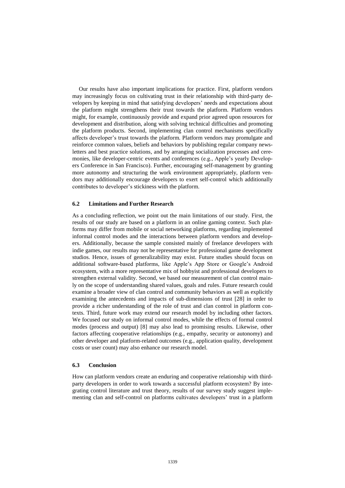Our results have also important implications for practice. First, platform vendors may increasingly focus on cultivating trust in their relationship with third-party developers by keeping in mind that satisfying developers' needs and expectations about the platform might strengthens their trust towards the platform. Platform vendors might, for example, continuously provide and expand prior agreed upon resources for development and distribution, along with solving technical difficulties and promoting the platform products. Second, implementing clan control mechanisms specifically affects developer's trust towards the platform. Platform vendors may promulgate and reinforce common values, beliefs and behaviors by publishing regular company newsletters and best practice solutions, and by arranging socialization processes and ceremonies, like developer-centric events and conferences (e.g., Apple's yearly Developers Conference in San Francisco). Further, encouraging self-management by granting more autonomy and structuring the work environment appropriately, platform vendors may additionally encourage developers to exert self-control which additionally contributes to developer's stickiness with the platform.

#### **6.2 Limitations and Further Research**

As a concluding reflection, we point out the main limitations of our study. First, the results of our study are based on a platform in an online gaming context. Such platforms may differ from mobile or social networking platforms, regarding implemented informal control modes and the interactions between platform vendors and developers. Additionally, because the sample consisted mainly of freelance developers with indie games, our results may not be representative for professional game development studios. Hence, issues of generalizability may exist. Future studies should focus on additional software-based platforms, like Apple's App Store or Google's Android ecosystem, with a more representative mix of hobbyist and professional developers to strengthen external validity. Second, we based our measurement of clan control mainly on the scope of understanding shared values, goals and rules. Future research could examine a broader view of clan control and community behaviors as well as explicitly examining the antecedents and impacts of sub-dimensions of trust [28] in order to provide a richer understanding of the role of trust and clan control in platform contexts. Third, future work may extend our research model by including other factors. We focused our study on informal control modes, while the effects of formal control modes (process and output) [8] may also lead to promising results. Likewise, other factors affecting cooperative relationships (e.g., empathy, security or autonomy) and other developer and platform-related outcomes (e.g., application quality, development costs or user count) may also enhance our research model.

## **6.3 Conclusion**

How can platform vendors create an enduring and cooperative relationship with thirdparty developers in order to work towards a successful platform ecosystem? By integrating control literature and trust theory, results of our survey study suggest implementing clan and self-control on platforms cultivates developers' trust in a platform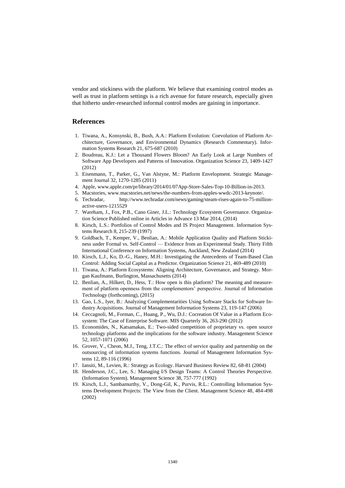vendor and stickiness with the platform. We believe that examining control modes as well as trust in platform settings is a rich avenue for future research, especially given that hitherto under-researched informal control modes are gaining in importance.

## **References**

- 1. Tiwana, A., Konsynski, B., Bush, A.A.: Platform Evolution: Coevolution of Platform Architecture, Governance, and Environmental Dynamics (Research Commentary). Information Systems Research 21, 675-687 (2010)
- 2. Boudreau, K.J.: Let a Thousand Flowers Bloom? An Early Look at Large Numbers of Software App Developers and Patterns of Innovation. Organization Science 23, 1409-1427 (2012)
- 3. Eisenmann, T., Parker, G., Van Alstyne, M.: Platform Envelopment. Strategic Management Journal 32, 1270-1285 (2011)
- 4. Apple, www.apple.com/pr/library/2014/01/07App-Store-Sales-Top-10-Billion-in-2013.
- 5. Macstories, www.macstories.net/news/the-numbers-from-apples-wwdc-2013-keynote/.
- 6. Techradar, http://www.techradar.com/news/gaming/steam-rises-again-to-75-millionactive-users-1215529
- 7. Wareham, J., Fox, P.B., Cano Giner, J.L.: Technology Ecosystem Governance. Organization Science Published online in Articles in Advance 13 Mar 2014, (2014)
- 8. Kirsch, L.S.: Portfolios of Control Modes and IS Project Management. Information Systems Research 8, 215-239 (1997)
- 9. Goldbach, T., Kemper, V., Benlian, A.: Mobile Application Quality and Platform Stickiness under Formal vs. Self-Control — Evidence from an Experimental Study. Thirty Fifth International Conference on Information Systems, Auckland, New Zealand (2014)
- 10. Kirsch, L.J., Ko, D.-G., Haney, M.H.: Investigating the Antecedents of Team-Based Clan Control: Adding Social Capital as a Predictor. Organization Science 21, 469-489 (2010)
- 11. Tiwana, A.: Platform Ecosystems: Aligning Architecture, Governance, and Strategy. Morgan Kaufmann, Burlington, Massachusetts (2014)
- 12. Benlian, A., Hilkert, D., Hess, T.: How open is this platform? The meaning and measurement of platform openness from the complementors' perspective. Journal of Information Technology (forthcoming), (2015)
- 13. Gao, L.S., Iyer, B.: Analyzing Complementarities Using Software Stacks for Software Industry Acquisitions. Journal of Management Information Systems 23, 119-147 (2006)
- 14. Ceccagnoli, M., Forman, C., Huang, P., Wu, D.J.: Cocreation Of Value in a Platform Ecosystem: The Case of Enterprise Software. MIS Quarterly 36, 263-290 (2012)
- 15. Economides, N., Katsamakas, E.: Two-sided competition of proprietary vs. open source technology platforms and the implications for the software industry. Management Science 52, 1057-1071 (2006)
- 16. Grover, V., Cheon, M.J., Teng, J.T.C.: The effect of service quality and partnership on the outsourcing of information systems functions. Journal of Management Information Systems 12, 89-116 (1996)
- 17. Iansiti, M., Levien, R.: Strategy as Ecology. Harvard Business Review 82, 68-81 (2004)
- 18. Henderson, J.C., Lee, S.: Managing I/S Design Teams: A Control Theories Perspective. (Information System). Management Science 38, 757-777 (1992)
- 19. Kirsch, L.J., Sambamurthy, V., Dong-Gil, K., Purvis, R.L.: Controlling Information Systems Development Projects: The View from the Client. Management Science 48, 484-498 (2002)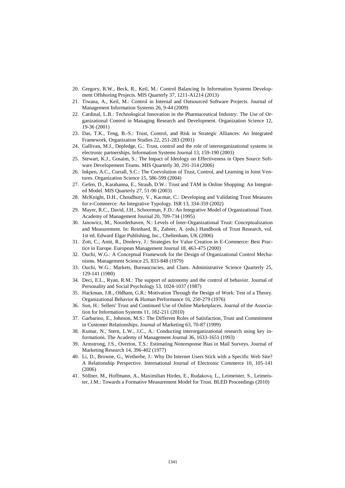- 20. Gregory, R.W., Beck, R., Keil, M.: Control Balancing In Information Systems Development Offshoring Projects. MIS Quarterly 37, 1211-A1214 (2013)
- 21. Tiwana, A., Keil, M.: Control in Internal and Outsourced Software Projects. Journal of Management Information Systems 26, 9-44 (2009)
- 22. Cardinal, L.B.: Technological Innovation in the Pharmaceutical Industry: The Use of Organizational Control in Managing Research and Development. Organization Science 12, 19-36 (2001)
- 23. Das, T.K., Teng, B.-S.: Trust, Control, and Risk in Strategic Alliances: An Integrated Framework. Organization Studies 22, 251-283 (2001)
- 24. Gallivan, M.J., Depledge, G.: Trust, control and the role of interorganizational systems in electronic partnerships. Information Systems Journal 13, 159-190 (2003)
- 25. Stewart, K.J., Gosaim, S.: The Impact of Ideology on Effectiveness in Open Source Software Developement Teams. MIS Quarterly 30, 291-314 (2006)
- 26. Inkpen, A.C., Currall, S.C.: The Coevolution of Trust, Control, and Learning in Joint Ventures. Organization Science 15, 586-599 (2004)
- 27. Gefen, D., Karahanna, E., Straub, D.W.: Trust and TAM in Online Shopping: An Integrated Model. MIS Quarterly 27, 51-90 (2003)
- 28. McKnight, D.H., Choudhury, V., Kacmar, C.: Developing and Validating Trust Measures for e-Commerce: An Integrative Typology. ISR 13, 334-359 (2002)
- 29. Mayer, R.C., David, J.H., Schoorman, F.D.: An Integrative Model of Organizational Trust. Academy of Management Journal 20, 709-734 (1995)
- 30. Janowicz, M., Noorderhaven, N.: Levels of Inter-Organizational Trust: Conceptualization and Measurement. In: Reinhard, B., Zaheer, A. (eds.) Handbook of Trust Research, vol. 1st ed. Edward Elgar Publishing, Inc., Cheltenham, UK (2006)
- 31. Zott, C., Amit, R., Donlevy, J.: Strategies for Value Creation in E-Commerce: Best Practice in Europe. European Management Journal 18, 463-475 (2000)
- 32. Ouchi, W.G.: A Conceptual Framework for the Design of Organizational Control Mechanisms. Management Science 25, 833-848 (1979)
- 33. Ouchi, W.G.: Markets, Bureaucracies, and Clans. Administrative Science Quarterly 25, 129-141 (1980)
- 34. Deci, E.L., Ryan, R.M.: The support of autonomy and the control of behavior. Journal of Personality and Social Psychology 53, 1024-1037 (1987)
- 35. Hackman, J.R., Oldham, G.R.: Motivation Through the Design of Work: Test of a Theory. Organizational Behavior & Human Performance 16, 250-279 (1976)
- 36. Sun, H.: Sellers' Trust and Continued Use of Online Marketplaces. Journal of the Association for Information Systems 11, 182-211 (2010)
- 37. Garbarino, E., Johnson, M.S.: The Different Roles of Satisfaction, Trust and Commitment in Customer Relationships. Journal of Marketing 63, 70-87 (1999)
- 38. Kumar, N., Stern, L.W., J.C., A.: Conducting interorganizational research using key informations. The Academy of Management Journal 36, 1633-1651 (1993)
- 39. Armstrong, J.S., Overton, T.S.: Estimating Nonresponse Bias in Mail Surveys. Journal of Marketing Research 14, 396-402 (1977)
- 40. Li, D., Browne, G., Wetherbe, J.: Why Do Internet Users Stick with a Specific Web Site? A Relationship Perspective. International Journal of Electronic Commerce 10, 105-141 (2006)
- 41. Söllner, M., Hoffmann, A., Maximilian Hirdes, E., Rudakova, L., Leimeister, S., Leimeister, J.M.: Towards a Formative Measurement Model for Trust. BLED Proceedings (2010)